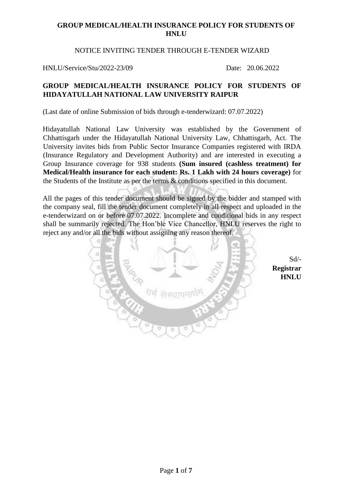## NOTICE INVITING TENDER THROUGH E-TENDER WIZARD

HNLU/Service/Stu/2022-23/09 Date: 20.06.2022

# **GROUP MEDICAL/HEALTH INSURANCE POLICY FOR STUDENTS OF HIDAYATULLAH NATIONAL LAW UNIVERSITY RAIPUR**

(Last date of online Submission of bids through e-tenderwizard: 07.07.2022)

Hidayatullah National Law University was established by the Government of Chhattisgarh under the Hidayatullah National University Law, Chhattisgarh, Act. The University invites bids from Public Sector Insurance Companies registered with IRDA (Insurance Regulatory and Development Authority) and are interested in executing a Group Insurance coverage for 938 students **(Sum insured (cashless treatment) for Medical/Health insurance for each student: Rs. 1 Lakh with 24 hours coverage)** for the Students of the Institute as per the terms & conditions specified in this document.

All the pages of this tender document should be signed by the bidder and stamped with the company seal, fill the tender document completely in all respect and uploaded in the e-tenderwizard on or before 07.07.2022. Incomplete and conditional bids in any respect shall be summarily rejected. The Hon'ble Vice Chancellor, HNLU reserves the right to reject any and/or all the bids without assigning any reason thereof.



Sd/- **Registrar HNLU**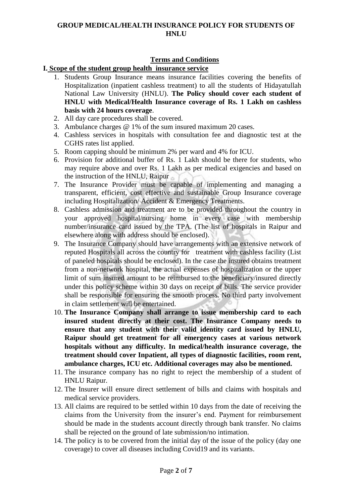# **Terms and Conditions**

### **I. Scope of the student group health insurance service**

- 1. Students Group Insurance means insurance facilities covering the benefits of Hospitalization (inpatient cashless treatment) to all the students of Hidayatullah National Law University (HNLU). **The Policy should cover each student of HNLU with Medical/Health Insurance coverage of Rs. 1 Lakh on cashless basis with 24 hours coverage**.
- 2. All day care procedures shall be covered.
- 3. Ambulance charges @ 1% of the sum insured maximum 20 cases.
- 4. Cashless services in hospitals with consultation fee and diagnostic test at the CGHS rates list applied.
- 5. Room capping should be minimum 2% per ward and 4% for ICU.
- 6. Provision for additional buffer of Rs. 1 Lakh should be there for students, who may require above and over Rs. 1 Lakh as per medical exigencies and based on the instruction of the HNLU, Raipur
- 7. The Insurance Provider must be capable of implementing and managing a transparent, efficient, cost effective and sustainable Group Insurance coverage including Hospitalization/ Accident & Emergency Treatments.
- 8. Cashless admission and treatment are to be provided throughout the country in your approved hospital/nursing home in every case with membership number/insurance card issued by the TPA. (The list of hospitals in Raipur and elsewhere along with address should be enclosed).
- 9. The Insurance Company should have arrangements with an extensive network of reputed Hospitals all across the country for treatment with cashless facility (List of paneled hospitals should be enclosed). In the case the insured obtains treatment from a non-network hospital, the actual expenses of hospitalization or the upper limit of sum insured amount to be reimbursed to the beneficiary/insured directly under this policy scheme within 30 days on receipt of bills. The service provider shall be responsible for ensuring the smooth process. No third party involvement in claim settlement will be entertained.
- 10. **The Insurance Company shall arrange to issue membership card to each insured student directly at their cost. The Insurance Company needs to ensure that any student with their valid identity card issued by HNLU, Raipur should get treatment for all emergency cases at various network hospitals without any difficulty. In medical/health insurance coverage, the treatment should cover Inpatient, all types of diagnostic facilities, room rent, ambulance charges, ICU etc. Additional coverages may also be mentioned.**
- 11. The insurance company has no right to reject the membership of a student of HNLU Raipur.
- 12. The Insurer will ensure direct settlement of bills and claims with hospitals and medical service providers.
- 13. All claims are required to be settled within 10 days from the date of receiving the claims from the University from the insurer's end. Payment for reimbursement should be made in the students account directly through bank transfer. No claims shall be rejected on the ground of late submission/no intimation.
- 14. The policy is to be covered from the initial day of the issue of the policy (day one coverage) to cover all diseases including Covid19 and its variants.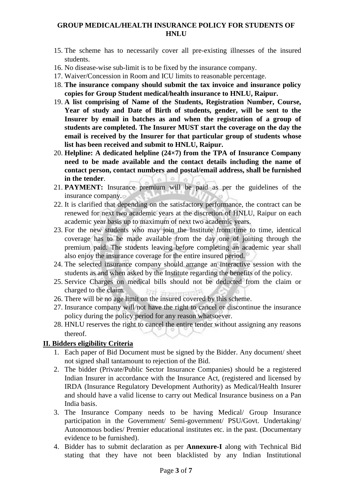- 15. The scheme has to necessarily cover all pre-existing illnesses of the insured students.
- 16. No disease-wise sub-limit is to be fixed by the insurance company.
- 17. Waiver/Concession in Room and ICU limits to reasonable percentage.
- 18. **The insurance company should submit the tax invoice and insurance policy copies for Group Student medical/health insurance to HNLU, Raipur.**
- 19. **A list comprising of Name of the Students, Registration Number, Course, Year of study and Date of Birth of students, gender, will be sent to the Insurer by email in batches as and when the registration of a group of students are completed. The Insurer MUST start the coverage on the day the email is received by the Insurer for that particular group of students whose list has been received and submit to HNLU, Raipur.**
- 20. **Helpline: A dedicated helpline (24×7) from the TPA of Insurance Company need to be made available and the contact details including the name of contact person, contact numbers and postal/email address, shall be furnished in the tender**.  $\alpha$  $\circ$
- 21. **PAYMENT:** Insurance premium will be paid as per the guidelines of the insurance company.
- 22. It is clarified that depending on the satisfactory performance, the contract can be renewed for next two academic years at the discretion of HNLU, Raipur on each academic year basis up to maximum of next two academic years.
- 23. For the new students who may join the Institute from time to time, identical coverage has to be made available from the day one of joining through the premium paid. The students leaving before completing an academic year shall also enjoy the insurance coverage for the entire insured period.
- 24. The selected insurance company should arrange an interactive session with the students as and when asked by the Institute regarding the benefits of the policy.
- 25. Service Charges on medical bills should not be deducted from the claim or charged to the claim.
- 26. There will be no age limit on the insured covered by this scheme.
- 27. Insurance company will not have the right to cancel or discontinue the insurance policy during the policy period for any reason whatsoever.
- 28. HNLU reserves the right to cancel the entire tender without assigning any reasons thereof.

# **II. Bidders eligibility Criteria**

- 1. Each paper of Bid Document must be signed by the Bidder. Any document/ sheet not signed shall tantamount to rejection of the Bid.
- 2. The bidder (Private/Public Sector Insurance Companies) should be a registered Indian Insurer in accordance with the Insurance Act, (registered and licensed by IRDA (Insurance Regulatory Development Authority) as Medical/Health Insurer and should have a valid license to carry out Medical Insurance business on a Pan India basis.
- 3. The Insurance Company needs to be having Medical/ Group Insurance participation in the Government/ Semi-government/ PSU/Govt. Undertaking/ Autonomous bodies/ Premier educational institutes etc. in the past. (Documentary evidence to be furnished).
- 4. Bidder has to submit declaration as per **Annexure-I** along with Technical Bid stating that they have not been blacklisted by any Indian Institutional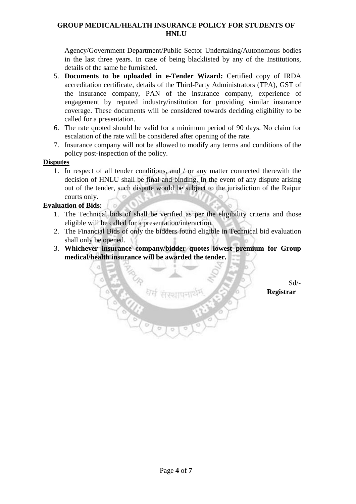Agency/Government Department/Public Sector Undertaking/Autonomous bodies in the last three years. In case of being blacklisted by any of the Institutions, details of the same be furnished.

- 5. **Documents to be uploaded in e-Tender Wizard:** Certified copy of IRDA accreditation certificate, details of the Third-Party Administrators (TPA), GST of the insurance company, PAN of the insurance company, experience of engagement by reputed industry/institution for providing similar insurance coverage. These documents will be considered towards deciding eligibility to be called for a presentation.
- 6. The rate quoted should be valid for a minimum period of 90 days. No claim for escalation of the rate will be considered after opening of the rate.
- 7. Insurance company will not be allowed to modify any terms and conditions of the policy post-inspection of the policy.

# **Disputes**

1. In respect of all tender conditions, and / or any matter connected therewith the decision of HNLU shall be final and binding. In the event of any dispute arising out of the tender, such dispute would be subject to the jurisdiction of the Raipur courts only.

# **Evaluation of Bids:**

- 1. The Technical bids of shall be verified as per the eligibility criteria and those eligible will be called for a presentation/interaction.
- 2. The Financial Bids of only the bidders found eligible in Technical bid evaluation shall only be opened.
- 3. **Whichever insurance company/bidder quotes lowest premium for Group medical/health insurance will be awarded the tender.**

 Sd/-  **Registrar**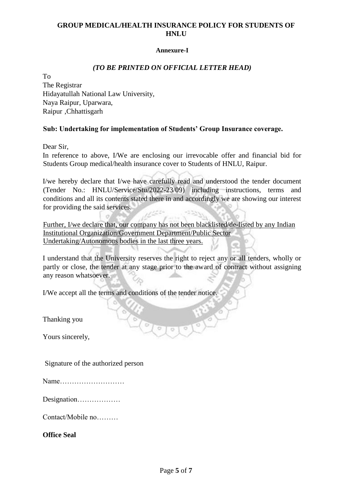#### **Annexure-I**

## *(TO BE PRINTED ON OFFICIAL LETTER HEAD)*

To

The Registrar Hidayatullah National Law University, Naya Raipur, Uparwara, Raipur ,Chhattisgarh

### **Sub: Undertaking for implementation of Students' Group Insurance coverage.**

Dear Sir,

In reference to above, I/We are enclosing our irrevocable offer and financial bid for Students Group medical/health insurance cover to Students of HNLU, Raipur.

I/we hereby declare that I/we have carefully read and understood the tender document (Tender No.: HNLU/Service/Stu/2022-23/09) including instructions, terms and conditions and all its contents stated there in and accordingly we are showing our interest for providing the said services.

Further, I/we declare that, our company has not been blacklisted/de-listed by any Indian Institutional Organization/Government Department/Public Sector Undertaking/Autonomous bodies in the last three years.

I understand that the University reserves the right to reject any or all tenders, wholly or partly or close, the tender at any stage prior to the award of contract without assigning any reason whatsoever.

I/We accept all the terms and conditions of the tender notice.

Thanking you

Yours sincerely,

Signature of the authorized person

| Name |
|------|
|------|

Designation………………

Contact/Mobile no………

**Office Seal**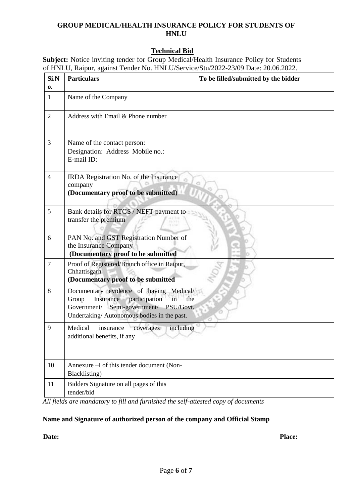# **Technical Bid**

**Subject:** Notice inviting tender for Group Medical/Health Insurance Policy for Students of HNLU, Raipur, against Tender No. HNLU/Service/Stu/2022-23/09 Date: 20.06.2022.

| Si.N<br>0.     | <b>Particulars</b>                                                                                                                                                                  | To be filled/submitted by the bidder |
|----------------|-------------------------------------------------------------------------------------------------------------------------------------------------------------------------------------|--------------------------------------|
| $\mathbf{1}$   | Name of the Company                                                                                                                                                                 |                                      |
| $\overline{2}$ | Address with Email & Phone number                                                                                                                                                   |                                      |
| 3              | Name of the contact person:<br>Designation: Address Mobile no.:<br>E-mail ID:                                                                                                       |                                      |
| $\overline{4}$ | IRDA Registration No. of the Insurance<br>company<br>(Documentary proof to be submitted)                                                                                            |                                      |
| 5              | Bank details for RTGS / NEFT payment to<br>transfer the premium                                                                                                                     |                                      |
| 6              | PAN No. and GST Registration Number of<br>the Insurance Company<br>(Documentary proof to be submitted                                                                               |                                      |
| $\overline{7}$ | Proof of Registered/Branch office in Raipur,<br>Chhattisgarh<br>(Documentary proof to be submitted                                                                                  |                                      |
| 8              | Documentary evidence of having Medical/<br>Insurance<br>participation<br>Group<br>the<br>in<br>Government/ Semi-government/ PSU/Govt.<br>Undertaking/Autonomous bodies in the past. |                                      |
| 9              | Medical<br>insurance<br>including<br>coverages<br>additional benefits, if any                                                                                                       |                                      |
| 10             | Annexure -I of this tender document (Non-<br>Blacklisting)                                                                                                                          |                                      |
| 11             | Bidders Signature on all pages of this<br>tender/bid                                                                                                                                |                                      |

*All fields are mandatory to fill and furnished the self-attested copy of documents*

#### **Name and Signature of authorized person of the company and Official Stamp**

Date: Place: